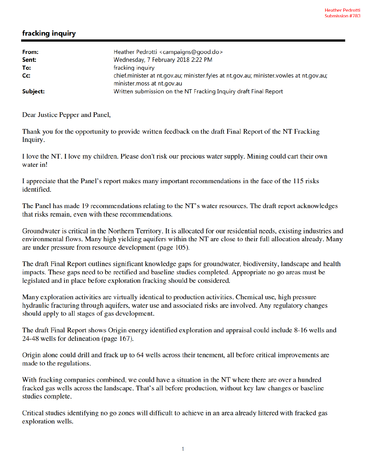## fracking inquiry

| From:<br>Sent: | Heather Pedrotti <campaigns@good.do><br/>Wednesday, 7 February 2018 2:22 PM</campaigns@good.do>                       |
|----------------|-----------------------------------------------------------------------------------------------------------------------|
| To:            | fracking inquiry                                                                                                      |
| Cc:            | chief.minister at nt.gov.au; minister.fyles at nt.gov.au; minister.vowles at nt.gov.au;<br>minister.moss at nt.gov.au |
| Subject:       | Written submission on the NT Fracking Inquiry draft Final Report                                                      |

Dear Justice Pepper and Panel,

Thank you for the opportunity to provide written feedback on the draft Final Report of the NT Fracking Inquiry.

I love the NT. I love my children. Please don't risk our precious water supply. Mining could cart their own water in!

I appreciate that the Panel's report makes many important recommendations in the face of the 115 risks identified.

The Panel has made 19 recommendations relating to the NT's water resources. The draft report acknowledges that risks remain, even with these recommendations.

Groundwater is critical in the Northern Territory. It is allocated for our residential needs, existing industries and environmental flows. Many high yielding aquifers within the NT are close to their full allocation already. Many are under pressure from resource development (page 105).

The draft Final Report outlines significant knowledge gaps for groundwater, biodiversity, landscape and health impacts. These gaps need to be rectified and baseline studies completed. Appropriate no go areas must be legislated and in place before exploration fracking should be considered.

Many exploration activities are virtually identical to production activities. Chemical use, high pressure hydraulic fracturing through aquifers, water use and associated risks are involved. Any regulatory changes should apply to all stages of gas development.

The draft Final Report shows Origin energy identified exploration and appraisal could include 8-16 wells and 24-48 wells for delineation (page 167).

Origin alone could drill and frack up to 64 wells across their tenement, all before critical improvements are made to the regulations.

With fracking companies combined, we could have a situation in the NT where there are over a hundred fracked gas wells across the landscape. That's all before production, without key law changes or baseline studies complete.

Critical studies identifying no go zones will difficult to achieve in an area already littered with fracked gas exploration wells.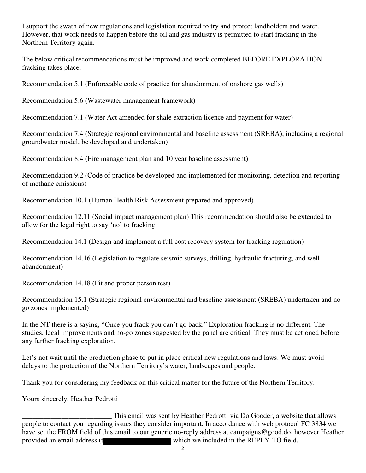I support the swath of new regulations and legislation required to try and protect landholders and water. However, that work needs to happen before the oil and gas industry is permitted to start fracking in the Northern Territory again.

The below critical recommendations must be improved and work completed BEFORE EXPLORATION fracking takes place.

Recommendation 5.1 (Enforceable code of practice for abandonment of onshore gas wells)

Recommendation 5.6 (Wastewater management framework)

Recommendation 7.1 (Water Act amended for shale extraction licence and payment for water)

Recommendation 7.4 (Strategic regional environmental and baseline assessment (SREBA), including a regional groundwater model, be developed and undertaken)

Recommendation 8.4 (Fire management plan and 10 year baseline assessment)

Recommendation 9.2 (Code of practice be developed and implemented for monitoring, detection and reporting of methane emissions)

Recommendation 10.1 (Human Health Risk Assessment prepared and approved)

Recommendation 12.11 (Social impact management plan) This recommendation should also be extended to allow for the legal right to say 'no' to fracking.

Recommendation 14.1 (Design and implement a full cost recovery system for fracking regulation)

Recommendation 14.16 (Legislation to regulate seismic surveys, drilling, hydraulic fracturing, and well abandonment)

Recommendation 14.18 (Fit and proper person test)

Recommendation 15.1 (Strategic regional environmental and baseline assessment (SREBA) undertaken and no go zones implemented)

In the NT there is a saying, "Once you frack you can't go back." Exploration fracking is no different. The studies, legal improvements and no-go zones suggested by the panel are critical. They must be actioned before any further fracking exploration.

Let's not wait until the production phase to put in place critical new regulations and laws. We must avoid delays to the protection of the Northern Territory's water, landscapes and people.

Thank you for considering my feedback on this critical matter for the future of the Northern Territory.

Yours sincerely, Heather Pedrotti

This email was sent by Heather Pedrotti via Do Gooder, a website that allows<br>people to contact you regarding issues they consider important. In accordance with web protocol FC 3834 we have set the FROM field of this email to our generic no-reply address at campaigns@good.do, however Heather provided an email address (t which we included in the REPLY-TO field.